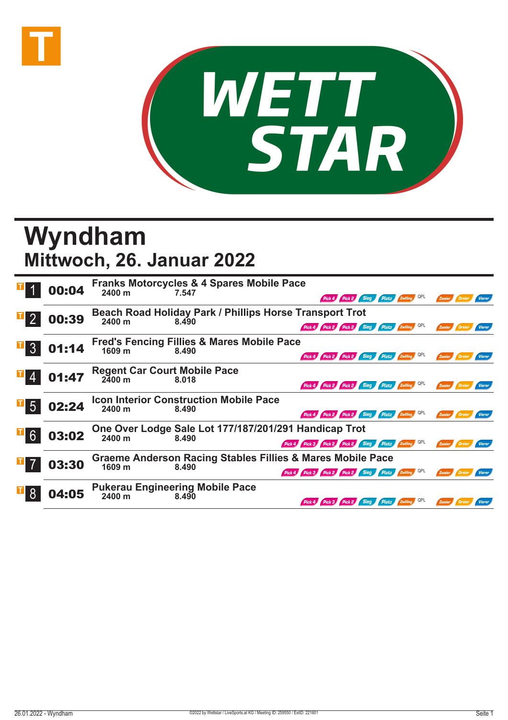



## **Wyndham Mittwoch, 26. Januar 2022**

|                 | 00:04 | 2400 m                                        | <b>Franks Motorcycles &amp; 4 Spares Mobile Pace</b><br>7.547    | Pick 4 Pick 2 Sieg<br>Platz Zwilling                                                                                         | Zweier           |
|-----------------|-------|-----------------------------------------------|------------------------------------------------------------------|------------------------------------------------------------------------------------------------------------------------------|------------------|
|                 | 00:39 | 2400 m                                        | Beach Road Holiday Park / Phillips Horse Transport Trot<br>8.490 | Pick 4 Pick 2 Pick 2 Sieg Platz Zwilling QPL                                                                                 |                  |
| $\mathcal{S}$   | 01:14 | 1609 <sub>m</sub>                             | <b>Fred's Fencing Fillies &amp; Mares Mobile Pace</b><br>8.490   | Pick 4 Pick 2 Pick 2 Sieg Platz 2 Willing QPL                                                                                | Zweier           |
|                 | 01:47 | <b>Regent Car Court Mobile Pace</b><br>2400 m | 8.018                                                            | QPL<br>Pick 4 Pick 2 Pick 2 Sieg Platz Zwilling                                                                              | Zweier<br>Dreier |
| $5\overline{)}$ | 02:24 | 2400 m                                        | <b>Icon Interior Construction Mobile Pace</b><br>8.490           | Pick 4 Pick 2 Pick 2 Sieg Platz Zwilling                                                                                     |                  |
| $\mathbb{E}[6]$ | 03:02 | 2400 m                                        | One Over Lodge Sale Lot 177/187/201/291 Handicap Trot<br>8.490   | Pick 4 Pick 3 Pick 2 Pick 2 Sieg Platz Zwilling QPL                                                                          | Zweier           |
|                 | 03:30 | 1609 m                                        | 8.490                                                            | <b>Graeme Anderson Racing Stables Fillies &amp; Mares Mobile Pace</b><br>Pick 4 Pick 3 Pick 2 Pick 2 Sieg Platz Zwilling QPL | Zweier<br>Vierer |
|                 | 04:05 | 2400 m                                        | <b>Pukerau Engineering Mobile Pace</b><br>8.490                  | Sieg Platz<br>Pick 2                                                                                                         |                  |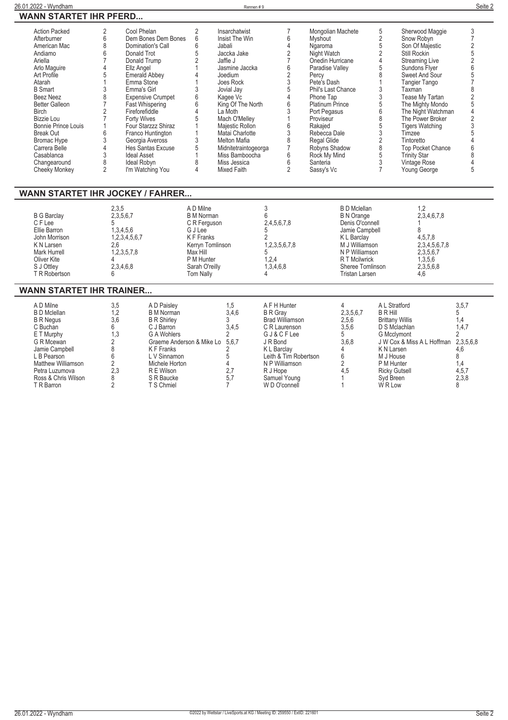| <b>Action Packed</b><br>Afterburner<br>American Mac<br>Andiamo<br>Ariella<br>Arlo Maguire | 2<br>Cool Phelan<br>6<br>8<br>6<br>Donald Trot<br>7<br>Ellz Angel | Dem Bones Dem Bones<br>Domination's Call<br>Donald Trump | 2<br>6<br>6<br>5<br>2        | Insarchatwist<br>Insist The Win<br>Jabali<br>Jaccka Jake<br>Jaffie J<br>Jasmine Jaccka | $\overline{7}$<br>6<br>4<br>2<br>$\overline{7}$<br>6 | Mongolian Machete<br><b>Myshout</b><br>Ngaroma<br>Night Watch<br>Onedin Hurricane<br>Paradise Valley |                                  | 5<br>$\overline{2}$<br>5<br>$\overline{2}$<br>4<br>5 | Sherwood Maggie<br>Snow Robyn<br>Son Of Majestic<br>Still Rockin<br>Streaming Live<br>Sundons Flyer | 3<br>$\overline{7}$<br>$\overline{2}$<br>5<br>$\overline{2}$<br>6 |
|-------------------------------------------------------------------------------------------|-------------------------------------------------------------------|----------------------------------------------------------|------------------------------|----------------------------------------------------------------------------------------|------------------------------------------------------|------------------------------------------------------------------------------------------------------|----------------------------------|------------------------------------------------------|-----------------------------------------------------------------------------------------------------|-------------------------------------------------------------------|
| Art Profile                                                                               | 5                                                                 | Emerald Abbey                                            | 4                            | Joedium                                                                                | $\overline{2}$                                       | Percy                                                                                                |                                  | 8                                                    | Sweet And Sour                                                                                      | 5                                                                 |
| Atarah                                                                                    | Emma Stone                                                        |                                                          |                              | Joes Rock                                                                              | 3                                                    | Pete's Dash                                                                                          |                                  | $\mathbf{1}$                                         | <b>Tangier Tango</b>                                                                                | $\overline{7}$                                                    |
| <b>B</b> Smart<br>Beez Neez                                                               | 3<br>Emma's Girl<br>8                                             | <b>Expensive Crumpet</b>                                 | 3<br>6                       | Jovial Jay                                                                             | 5<br>4                                               | Phil's Last Chance<br>Phone Tap                                                                      |                                  | 3<br>3                                               | Taxman<br>Tease My Tartan                                                                           | 8<br>$\overline{2}$                                               |
| <b>Better Galleon</b>                                                                     | $\overline{7}$                                                    | Fast Whispering                                          | 6                            | Kagee Vc<br>King Of The North                                                          | 6                                                    | <b>Platinum Prince</b>                                                                               |                                  | 5                                                    | The Mighty Mondo                                                                                    | 5                                                                 |
| <b>Birch</b>                                                                              | 2<br>Fireforefiddle                                               |                                                          | 4                            | La Moth                                                                                | 3                                                    | Port Pegasus                                                                                         |                                  | 6                                                    | The Night Watchman                                                                                  | $\overline{4}$                                                    |
| Bizzie Lou                                                                                | 7<br>Forty Wives                                                  |                                                          | 5                            | Mach O'Melley                                                                          | 1                                                    | Proviseur                                                                                            |                                  | 8                                                    | The Power Broker                                                                                    | $\overline{2}$                                                    |
| Bonnie Prince Louis                                                                       |                                                                   | Four Starzzz Shiraz                                      |                              | Majestic Rollon                                                                        | 6                                                    | Rakajed                                                                                              |                                  | 5                                                    | <b>Tigers Watching</b>                                                                              | 3                                                                 |
| <b>Break Out</b>                                                                          | 6                                                                 | Franco Huntington                                        |                              | Matai Charlotte                                                                        | 3                                                    | Rebecca Dale                                                                                         |                                  | 3                                                    | Timzee                                                                                              |                                                                   |
| Bromac Hype                                                                               | 3                                                                 | Georgia Aveross                                          | 3                            | <b>Melton Mafia</b>                                                                    | 8                                                    | Regal Glide                                                                                          |                                  | $\overline{2}$                                       | Tintoretto                                                                                          |                                                                   |
| Carrera Belle<br>Casablanca                                                               | 4<br>3<br><b>Ideal Asset</b>                                      | Hes Santas Excuse                                        | 5                            | Midnitetraintogeorga<br>Miss Bamboocha                                                 | $\overline{7}$<br>6                                  | Robyns Shadow                                                                                        |                                  | 8<br>5                                               | <b>Top Pocket Chance</b>                                                                            | 6<br>8                                                            |
| Changearound                                                                              | 8<br>Ideal Robyn                                                  |                                                          | 8                            | Miss Jessica                                                                           | 6                                                    | Rock My Mind<br>Santeria                                                                             |                                  | 3                                                    | <b>Trinity Star</b><br>Vintage Rose                                                                 |                                                                   |
| Cheeky Monkey                                                                             | $\overline{2}$                                                    | I'm Watching You                                         | 4                            | <b>Mixed Faith</b>                                                                     | $\overline{2}$                                       | Sassy's Vc                                                                                           |                                  | $\overline{7}$                                       | Young George                                                                                        | 5                                                                 |
|                                                                                           |                                                                   |                                                          |                              |                                                                                        |                                                      |                                                                                                      |                                  |                                                      |                                                                                                     |                                                                   |
| WANN STARTET IHR JOCKEY / FAHRER                                                          |                                                                   |                                                          |                              |                                                                                        |                                                      |                                                                                                      |                                  |                                                      |                                                                                                     |                                                                   |
|                                                                                           | 2,3,5                                                             |                                                          | A D Milne                    |                                                                                        | 3                                                    |                                                                                                      | <b>B</b> D Mclellan              |                                                      | 1,2                                                                                                 |                                                                   |
| <b>B G Barclay</b>                                                                        | 2,3,5,6,7                                                         |                                                          | <b>B</b> M Norman            |                                                                                        | 6                                                    |                                                                                                      | <b>B N Orange</b>                |                                                      | 2,3,4,6,7,8                                                                                         |                                                                   |
| C F Lee                                                                                   | 5                                                                 |                                                          | C R Ferguson                 |                                                                                        | 2,4,5,6,7,8                                          |                                                                                                      | Denis O'connell                  |                                                      |                                                                                                     |                                                                   |
| Ellie Barron                                                                              | 1,3,4,5,6                                                         |                                                          | G J Lee                      |                                                                                        | 5                                                    |                                                                                                      | Jamie Campbell                   |                                                      | 8                                                                                                   |                                                                   |
| John Morrison                                                                             | 1,2,3,4,5,6,7                                                     |                                                          | <b>KF</b> Franks             |                                                                                        |                                                      |                                                                                                      | K L Barclay                      |                                                      | 4,5,7,8                                                                                             |                                                                   |
| K N Larsen<br>Mark Hurrell                                                                | 2.6<br>1,2,3,5,7,8                                                |                                                          | Kerryn Tomlinson<br>Max Hill |                                                                                        | 1,2,3,5,6,7,8<br>5                                   |                                                                                                      | M J Williamson<br>N P Williamson |                                                      | 2,3,4,5,6,7,8<br>2,3,5,6,7                                                                          |                                                                   |
| Oliver Kite                                                                               |                                                                   |                                                          | P M Hunter                   |                                                                                        | 1.2.4                                                |                                                                                                      | <b>RT</b> Mcilwrick              |                                                      | 1.3.5.6                                                                                             |                                                                   |
| S J Ottley                                                                                | 2,3,4,6,8                                                         |                                                          | Sarah O'reilly               |                                                                                        | 1,3,4,6,8                                            |                                                                                                      | Sheree Tomlinson                 |                                                      | 2,3,5,6,8                                                                                           |                                                                   |
| T R Robertson                                                                             | 6                                                                 |                                                          | <b>Tom Nally</b>             |                                                                                        | $\overline{\mathcal{A}}$                             |                                                                                                      | <b>Tristan Larsen</b>            |                                                      | 4.6                                                                                                 |                                                                   |
| <b>WANN STARTET IHR TRAINER</b>                                                           |                                                                   |                                                          |                              |                                                                                        |                                                      |                                                                                                      |                                  |                                                      |                                                                                                     |                                                                   |
| A D Milne                                                                                 | 3,5                                                               | A D Paisley                                              |                              | 1,5                                                                                    | A F H Hunter                                         |                                                                                                      | 4                                | A L Stratford                                        |                                                                                                     | 3,5,7                                                             |
| <b>B D Mclellan</b><br><b>B R Negus</b>                                                   | 1,2<br>3.6                                                        | <b>B</b> M Norman<br><b>B R Shirley</b>                  |                              | 3,4,6<br>3                                                                             | <b>B</b> R Gray<br>Brad Williamson                   |                                                                                                      | 2,3,5,6,7<br>2,5,6               | <b>BRHill</b><br><b>Brittany Willis</b>              |                                                                                                     | 5<br>1.4                                                          |
| C Buchan                                                                                  | 6                                                                 | C J Barron                                               |                              | 3,4,5                                                                                  | C R Laurenson                                        |                                                                                                      | 3,5,6                            | D S Mclachlan                                        |                                                                                                     | 1,4,7                                                             |
| E T Murphy                                                                                | 1,3                                                               | <b>G A Wohlers</b>                                       |                              | $\overline{2}$                                                                         | GJ&CFLee                                             |                                                                                                      | 5                                | <b>G</b> Mcclymont                                   |                                                                                                     | 2                                                                 |
| G R Mcewan                                                                                | 2                                                                 | Graeme Anderson & Mike Lo                                |                              | 5,6,7                                                                                  | J R Bond                                             |                                                                                                      | 3,6,8                            |                                                      | J W Cox & Miss A L Hoffman 2,3,5,6,8                                                                |                                                                   |
| Jamie Campbell                                                                            | 8                                                                 | <b>KF</b> Franks                                         |                              | 2                                                                                      | K L Barclay                                          |                                                                                                      | 4                                | K N Larsen                                           |                                                                                                     | 4,6                                                               |
| L B Pearson                                                                               | 6                                                                 | L V Sinnamon                                             |                              | 5                                                                                      | Leith & Tim Robertson                                |                                                                                                      | 6                                | M J House                                            |                                                                                                     | 8                                                                 |
| Matthew Williamson                                                                        | $\overline{2}$                                                    | Michele Horton                                           |                              | 4                                                                                      | N P Williamson                                       |                                                                                                      | $\overline{2}$                   | P M Hunter                                           |                                                                                                     | 1,4                                                               |
| Petra Luzumova                                                                            | $\overline{2,3}$                                                  | R E Wilson                                               |                              | 2.7                                                                                    | R J Hope                                             |                                                                                                      | 4.5                              | <b>Ricky Gutsell</b>                                 |                                                                                                     | 4,5,7                                                             |
| Ross & Chris Wilson                                                                       | 8<br>$\overline{2}$                                               | S R Baucke                                               |                              | 5,7                                                                                    | Samuel Young                                         |                                                                                                      | $\mathbf{1}$                     | Syd Breen                                            |                                                                                                     | 2,3,8                                                             |
| T R Barron                                                                                |                                                                   | T S Chmiel                                               |                              | 7                                                                                      | W D O'connell                                        |                                                                                                      | 1                                | W <sub>RLow</sub>                                    |                                                                                                     | 8                                                                 |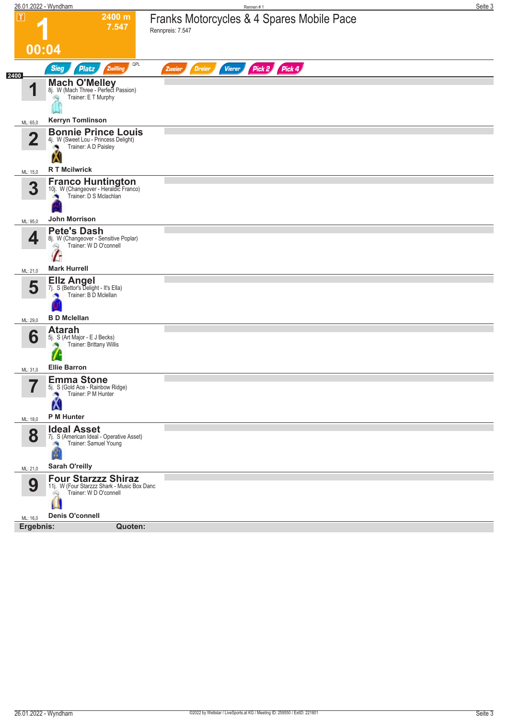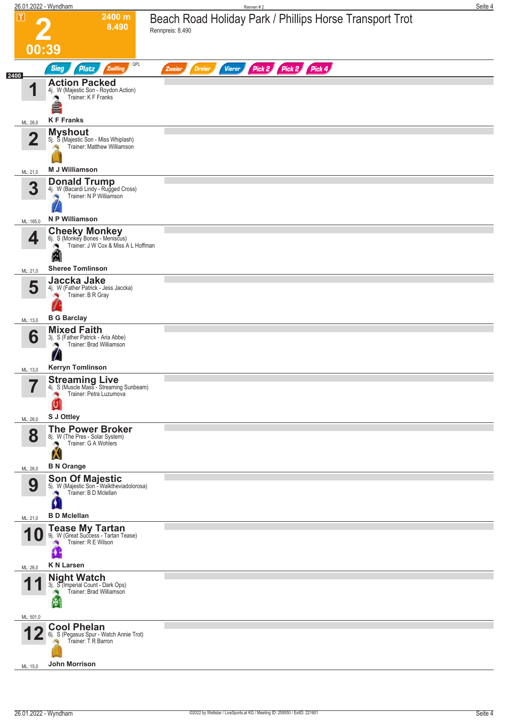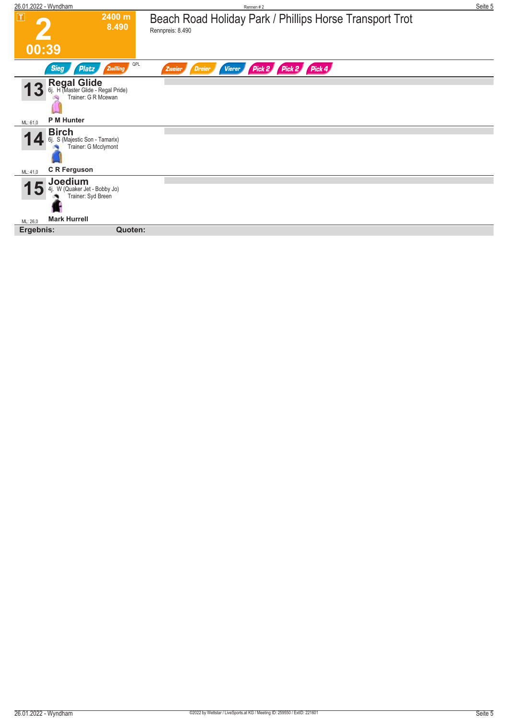| 26.01.2022 - Wyndham                                                                             |                 | Rennen #2                                                                   | Seite 5 |
|--------------------------------------------------------------------------------------------------|-----------------|-----------------------------------------------------------------------------|---------|
| $\boxed{\mathbf{T}}$                                                                             | 2400 m<br>8.490 | Beach Road Holiday Park / Phillips Horse Transport Trot<br>Rennpreis: 8.490 |         |
| 00:39                                                                                            |                 |                                                                             |         |
| <b>Sieg</b><br>Platz                                                                             | QPL<br>Zwilling | Pick 2 Pick 2 Pick 4<br><b>Vierer</b><br>Dreier<br>Zweier                   |         |
| <b>Regal Glide</b><br>6j. H (Master Glide - Regal Pride)<br>Trainer: G R Mcewan<br>$\mathbf{13}$ |                 |                                                                             |         |
| P M Hunter<br>ML: 61,0                                                                           |                 |                                                                             |         |
| <b>Birch</b><br>S (Majestic Son - Tamarix)<br>6i.<br>Trainer: G Mcclymont                        |                 |                                                                             |         |
| <b>C</b> R Ferguson<br>ML: 41,0                                                                  |                 |                                                                             |         |
| Joedium<br>W (Quaker Jet - Bobby Jo)<br>Trainer: Syd Breen                                       |                 |                                                                             |         |
| <b>Mark Hurrell</b><br>ML: 26.0                                                                  |                 |                                                                             |         |
| Ergebnis:                                                                                        | Quoten:         |                                                                             |         |
|                                                                                                  |                 |                                                                             |         |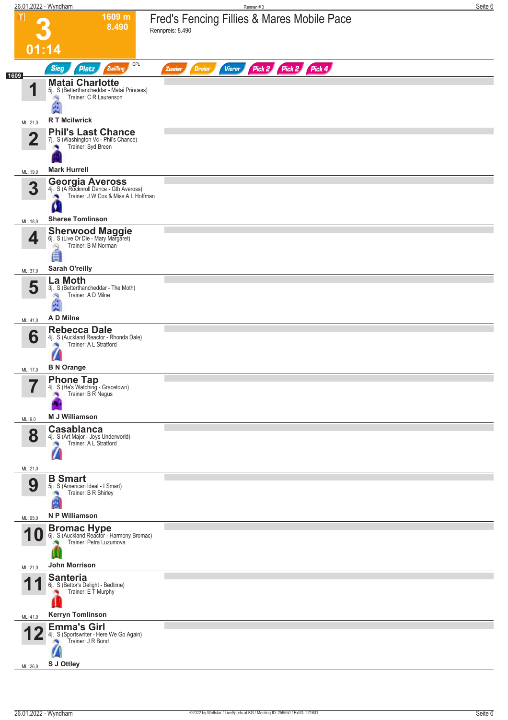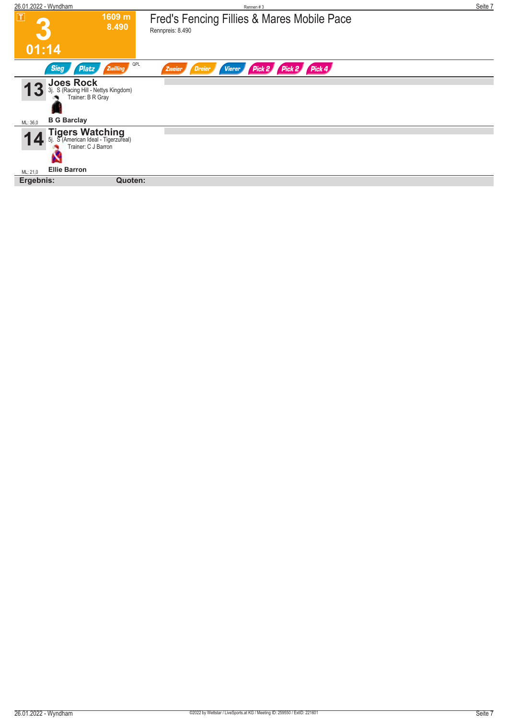| 26.01.2022 - Wyndham                                                                                   | Rennen#3                                                       | Seite 7 |
|--------------------------------------------------------------------------------------------------------|----------------------------------------------------------------|---------|
| $\overline{\mathbf{I}}$<br>1609 m<br>8.490                                                             | Fred's Fencing Fillies & Mares Mobile Pace<br>Rennpreis: 8.490 |         |
| 01:14                                                                                                  |                                                                |         |
| QPL<br><b>Sieg</b><br><b>Zwilling</b><br>Platz                                                         | Pick 2 Pick 2 Pick 4<br><b>Vierer</b><br>Zweier<br>Dreier      |         |
| <b>Joes Rock</b><br>S (Racing Hill - Nettys Kingdom)<br>3i.<br>Trainer: B R Gray<br><b>B G Barclay</b> |                                                                |         |
| ML: 36,0<br><b>Tigers Watching</b><br>5. S (American Ideal - Tigerzureal)<br>Trainer: C J Barron       |                                                                |         |
| <b>Ellie Barron</b><br>ML: 21,0                                                                        |                                                                |         |
| Ergebnis:<br>Quoten:                                                                                   |                                                                |         |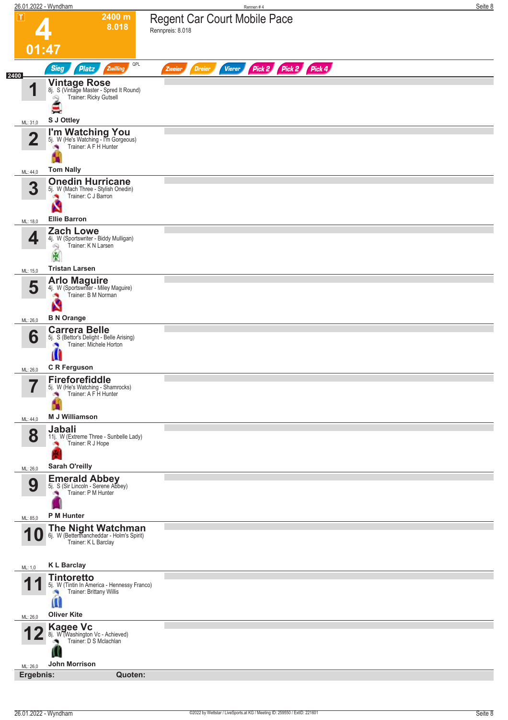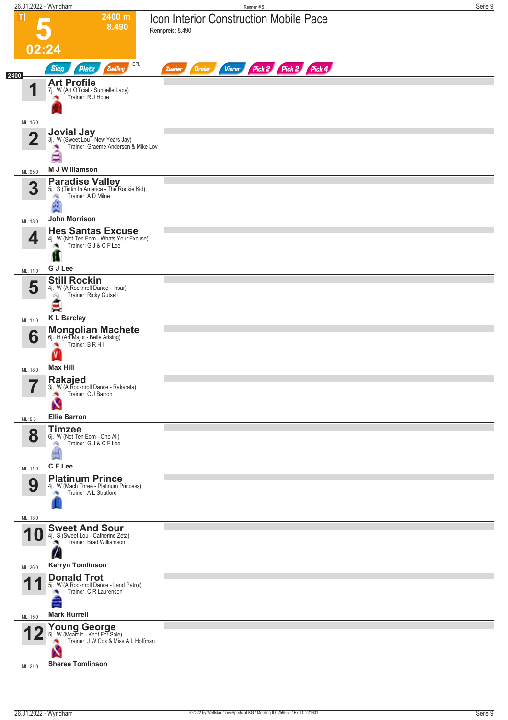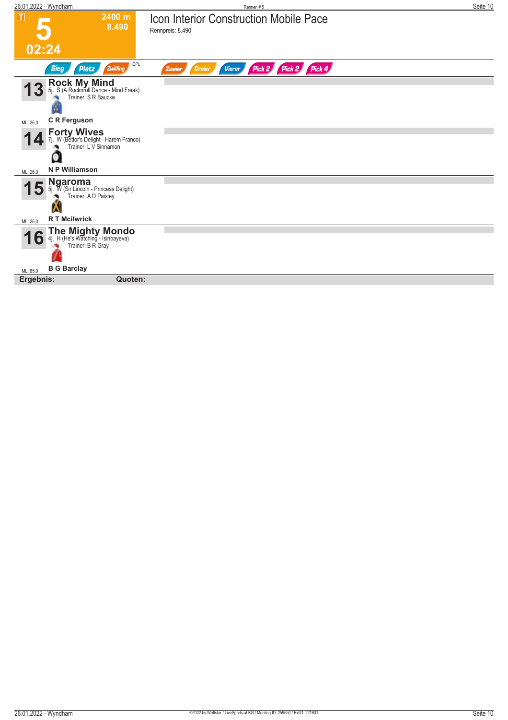| 26.01.2022 - Wyndham                                                                    | Rennen#5                                                          | Seite 10 |
|-----------------------------------------------------------------------------------------|-------------------------------------------------------------------|----------|
| $ \mathbf{T} $<br>2400 m<br>8.490                                                       | <b>Icon Interior Construction Mobile Pace</b><br>Rennpreis: 8.490 |          |
| 02:24                                                                                   |                                                                   |          |
| QPL<br><b>Sieg</b><br><b>Zwilling</b><br><b>Platz</b>                                   | Pick 2 Pick 2 Pick 4<br><b>Vierer</b><br><b>Dreier</b><br>Zweier  |          |
| <b>Rock My Mind</b><br>5j. S (A Rocknroll Dance - Mind Freak)<br>Trainer: S R Baucke    |                                                                   |          |
| <b>C</b> R Ferguson<br>ML: 26,0                                                         |                                                                   |          |
| <b>Forty Wives</b><br>7j. W (Bettor's Delight - Harem Franco)<br>Trainer: L V Sinnamon  |                                                                   |          |
| <b>N P Williamson</b><br>ML: 26,0                                                       |                                                                   |          |
| <b>Ngaroma</b><br>5j. W (Sir Lincoln - Princess Delight)<br>Trainer: A D Paisley        |                                                                   |          |
| <b>RT</b> Mcilwrick<br>ML: 26,0                                                         |                                                                   |          |
| <b>The Mighty Mondo</b><br>4j. H (He's Watching - Isinbayeva)<br>Trainer: B R Gray<br>D |                                                                   |          |
| <b>B G Barclay</b><br>ML: 85,0                                                          |                                                                   |          |
| Quoten:<br>Ergebnis:                                                                    |                                                                   |          |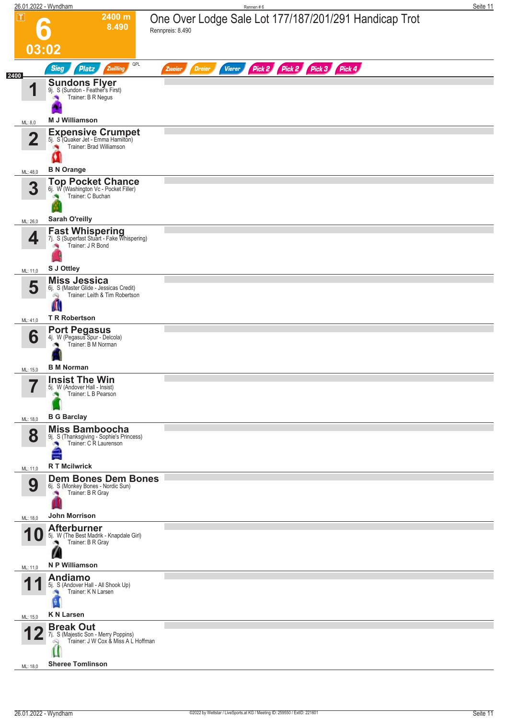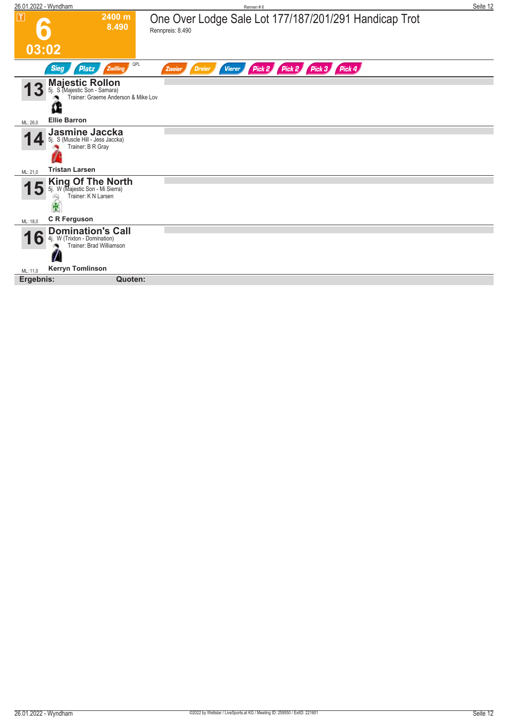| 26.01.2022 - Wyndham                                                            |                                     | Rennen#6                                                                  | Seite 12 |
|---------------------------------------------------------------------------------|-------------------------------------|---------------------------------------------------------------------------|----------|
| $\boxed{\text{T}}$                                                              | 2400 m<br>8.490                     | One Over Lodge Sale Lot 177/187/201/291 Handicap Trot<br>Rennpreis: 8.490 |          |
| 03:02                                                                           |                                     |                                                                           |          |
| <b>Platz</b><br><b>Sieg</b>                                                     | QPL<br>Zwilling                     | Pick 2 Pick 2 Pick 3 Pick 4<br><b>Vierer</b><br><b>Dreier</b><br>Zweier   |          |
| <b>Majestic Rollon</b><br>5j. S (Majestic Son - Samara)                         | Trainer: Graeme Anderson & Mike Lov |                                                                           |          |
| <b>Ellie Barron</b><br>ML: 26,0                                                 |                                     |                                                                           |          |
| <b>Jasmine Jaccka</b><br>5j. S (Muscle Hill - Jess Jaccka)<br>Trainer: B R Gray |                                     |                                                                           |          |
| <b>Tristan Larsen</b><br>ML: 21,0                                               |                                     |                                                                           |          |
| King Of The North<br>5j. W (Majestic Son - Mi Sierra)<br>Trainer: K N Larsen    |                                     |                                                                           |          |
| <b>C</b> R Ferguson<br>ML: 18,0                                                 |                                     |                                                                           |          |
| <b>Domination's Call</b><br>W (Trixton - Domination)<br>4i.<br>lo               | Trainer: Brad Williamson            |                                                                           |          |
| <b>Kerryn Tomlinson</b><br>ML: 11,0                                             |                                     |                                                                           |          |
| Ergebnis:                                                                       | Quoten:                             |                                                                           |          |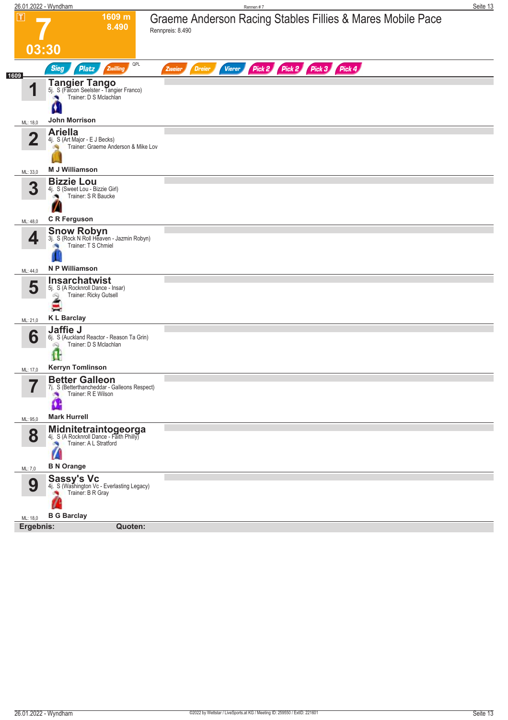